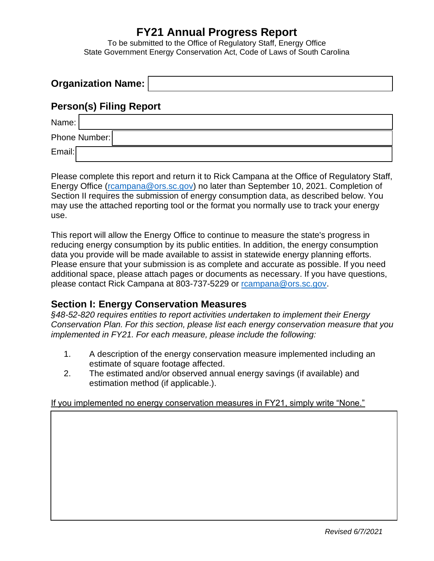## **FY21 Annual Progress Report**

To be submitted to the Office of Regulatory Staff, Energy Office State Government Energy Conservation Act, Code of Laws of South Carolina

## **Person(s) Filing Report**

| Name:         |  |  |
|---------------|--|--|
| Phone Number: |  |  |
| Email:        |  |  |

Please complete this report and return it to Rick Campana at the Office of Regulatory Staff, Energy Office [\(rcampana@ors.sc.gov\)](mailto:rcampana@ors.sc.gov) no later than September 10, 2021. Completion of Section II requires the submission of energy consumption data, as described below. You may use the attached reporting tool or the format you normally use to track your energy use.

This report will allow the Energy Office to continue to measure the state's progress in reducing energy consumption by its public entities. In addition, the energy consumption data you provide will be made available to assist in statewide energy planning efforts. Please ensure that your submission is as complete and accurate as possible. If you need additional space, please attach pages or documents as necessary. If you have questions, please contact Rick Campana at 803-737-5229 or [rcampana@ors.sc.gov.](mailto:rcampana@ors.sc.gov)

### **Section I: Energy Conservation Measures**

*§48-52-820 requires entities to report activities undertaken to implement their Energy Conservation Plan. For this section, please list each energy conservation measure that you implemented in FY21. For each measure, please include the following:*

- 1. A description of the energy conservation measure implemented including an estimate of square footage affected.
- 2. The estimated and/or observed annual energy savings (if available) and estimation method (if applicable.).

If you implemented no energy conservation measures in FY21, simply write "None."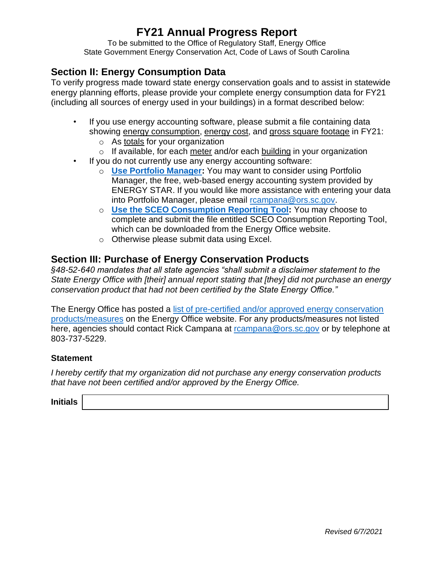## **FY21 Annual Progress Report**

To be submitted to the Office of Regulatory Staff, Energy Office State Government Energy Conservation Act, Code of Laws of South Carolina

## **Section II: Energy Consumption Data**

To verify progress made toward state energy conservation goals and to assist in statewide energy planning efforts, please provide your complete energy consumption data for FY21 (including all sources of energy used in your buildings) in a format described below:

- If you use energy accounting software, please submit a file containing data showing energy consumption, energy cost, and gross square footage in FY21:
	- o As totals for your organization
	- $\circ$  If available, for each meter and/or each building in your organization
- If you do not currently use any energy accounting software:
	- o **[Use Portfolio Manager:](https://www.energystar.gov/istar/pmpam/)** You may want to consider using Portfolio Manager, the free, web-based energy accounting system provided by ENERGY STAR. If you would like more assistance with entering your data into Portfolio Manager, please email [rcampana@ors.sc.gov.](mailto:rcampana@ors.sc.gov)
	- o **Use [the SCEO Consumption Reporting Tool:](https://ors.sc.gov/sites/default/files/Documents/Consumers/Electric/Consumption%20Reporting%20Tool%20FY2021.xls)** You may choose to complete and submit the file entitled SCEO Consumption Reporting Tool, which can be downloaded from the Energy Office website.
	- o Otherwise please submit data using Excel.

### **Section III: Purchase of Energy Conservation Products**

*§48-52-640 mandates that all state agencies "shall submit a disclaimer statement to the State Energy Office with [their] annual report stating that [they] did not purchase an energy conservation product that had not been certified by the State Energy Office."*

The Energy Office has posted a [list of pre-certified and/or approved energy conservation](http://energy.sc.gov/files/Approved_Energy_Conservation_Products_and_Measures%208%2017.pdf)  [products/measures](http://energy.sc.gov/files/Approved_Energy_Conservation_Products_and_Measures%208%2017.pdf) on the Energy Office website. For any products/measures not listed here, agencies should contact Rick Campana at reampana@ors.sc.gov or by telephone at 803-737-5229.

#### **Statement**

*I hereby certify that my organization did not purchase any energy conservation products that have not been certified and/or approved by the Energy Office.*

**Initials**